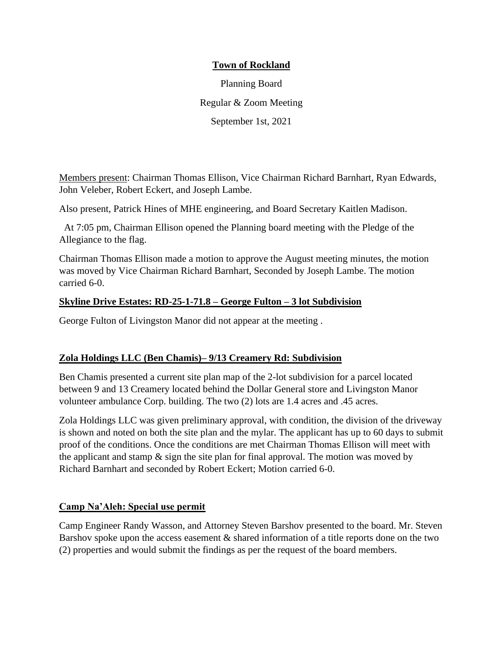## **Town of Rockland**

Planning Board Regular & Zoom Meeting September 1st, 2021

Members present: Chairman Thomas Ellison, Vice Chairman Richard Barnhart, Ryan Edwards, John Veleber, Robert Eckert, and Joseph Lambe.

Also present, Patrick Hines of MHE engineering, and Board Secretary Kaitlen Madison.

At 7:05 pm, Chairman Ellison opened the Planning board meeting with the Pledge of the Allegiance to the flag.

Chairman Thomas Ellison made a motion to approve the August meeting minutes, the motion was moved by Vice Chairman Richard Barnhart, Seconded by Joseph Lambe. The motion carried 6-0.

#### **Skyline Drive Estates: RD-25-1-71.8 – George Fulton – 3 lot Subdivision**

George Fulton of Livingston Manor did not appear at the meeting .

## **Zola Holdings LLC (Ben Chamis)– 9/13 Creamery Rd: Subdivision**

Ben Chamis presented a current site plan map of the 2-lot subdivision for a parcel located between 9 and 13 Creamery located behind the Dollar General store and Livingston Manor volunteer ambulance Corp. building. The two (2) lots are 1.4 acres and .45 acres.

Zola Holdings LLC was given preliminary approval, with condition, the division of the driveway is shown and noted on both the site plan and the mylar. The applicant has up to 60 days to submit proof of the conditions. Once the conditions are met Chairman Thomas Ellison will meet with the applicant and stamp  $\&$  sign the site plan for final approval. The motion was moved by Richard Barnhart and seconded by Robert Eckert; Motion carried 6-0.

## **Camp Na'Aleh: Special use permit**

Camp Engineer Randy Wasson, and Attorney Steven Barshov presented to the board. Mr. Steven Barshov spoke upon the access easement  $\&$  shared information of a title reports done on the two (2) properties and would submit the findings as per the request of the board members.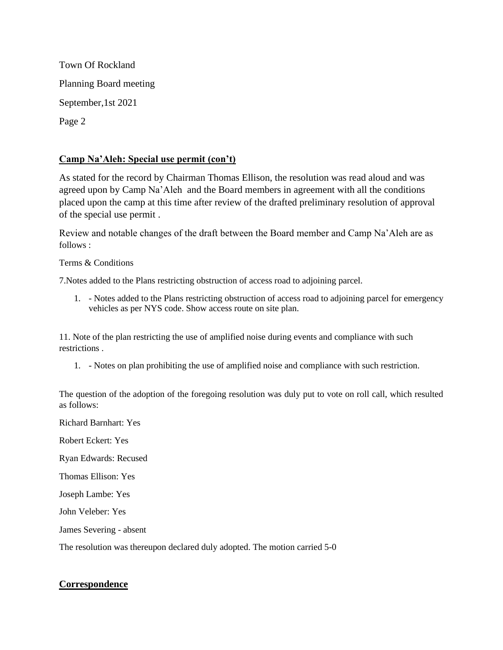Town Of Rockland Planning Board meeting September,1st 2021 Page 2

## **Camp Na'Aleh: Special use permit (con't)**

As stated for the record by Chairman Thomas Ellison, the resolution was read aloud and was agreed upon by Camp Na'Aleh and the Board members in agreement with all the conditions placed upon the camp at this time after review of the drafted preliminary resolution of approval of the special use permit .

Review and notable changes of the draft between the Board member and Camp Na'Aleh are as follows :

Terms & Conditions

7.Notes added to the Plans restricting obstruction of access road to adjoining parcel.

1. - Notes added to the Plans restricting obstruction of access road to adjoining parcel for emergency vehicles as per NYS code. Show access route on site plan.

11. Note of the plan restricting the use of amplified noise during events and compliance with such restrictions .

1. - Notes on plan prohibiting the use of amplified noise and compliance with such restriction.

The question of the adoption of the foregoing resolution was duly put to vote on roll call, which resulted as follows:

Richard Barnhart: Yes Robert Eckert: Yes Ryan Edwards: Recused Thomas Ellison: Yes Joseph Lambe: Yes John Veleber: Yes James Severing - absent

#### The resolution was thereupon declared duly adopted. The motion carried 5-0

## **Correspondence**